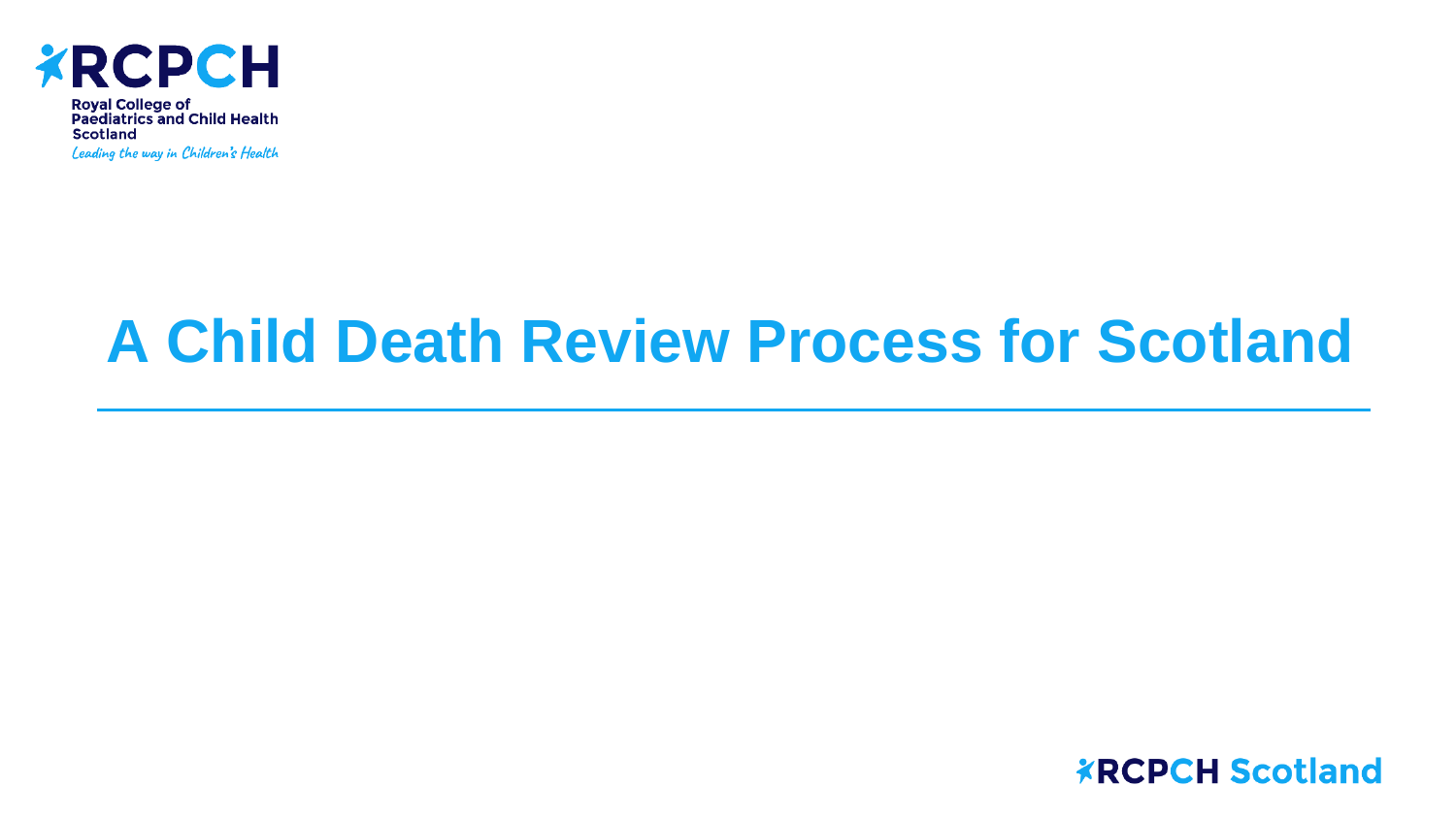

Royal College of<br>Paediatrics and Child Health **Scotland** 

Leading the way in Children's Health

## **A Child Death Review Process for Scotland**

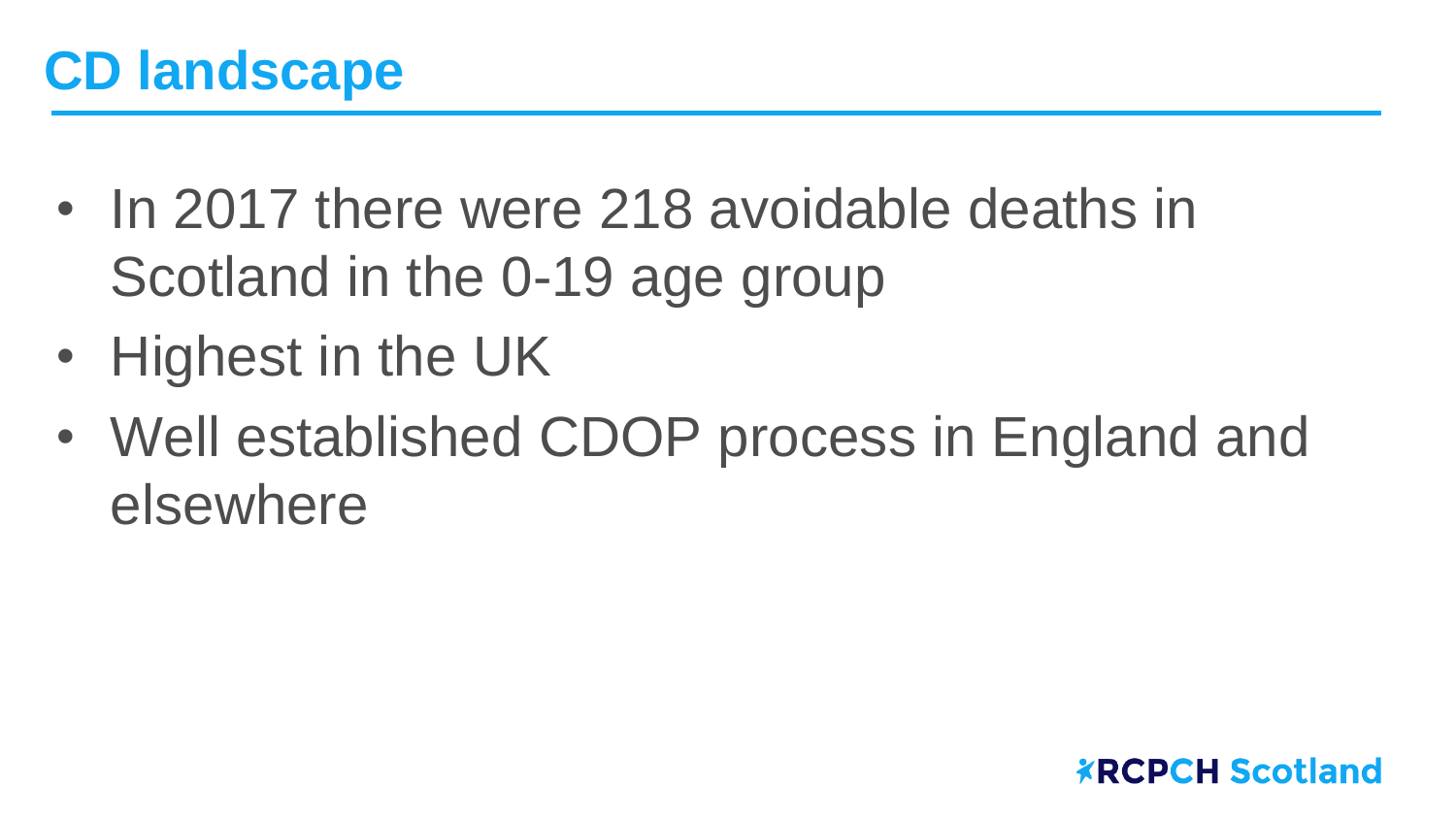- In 2017 there were 218 avoidable deaths in Scotland in the 0-19 age group
- Highest in the UK
- Well established CDOP process in England and elsewhere

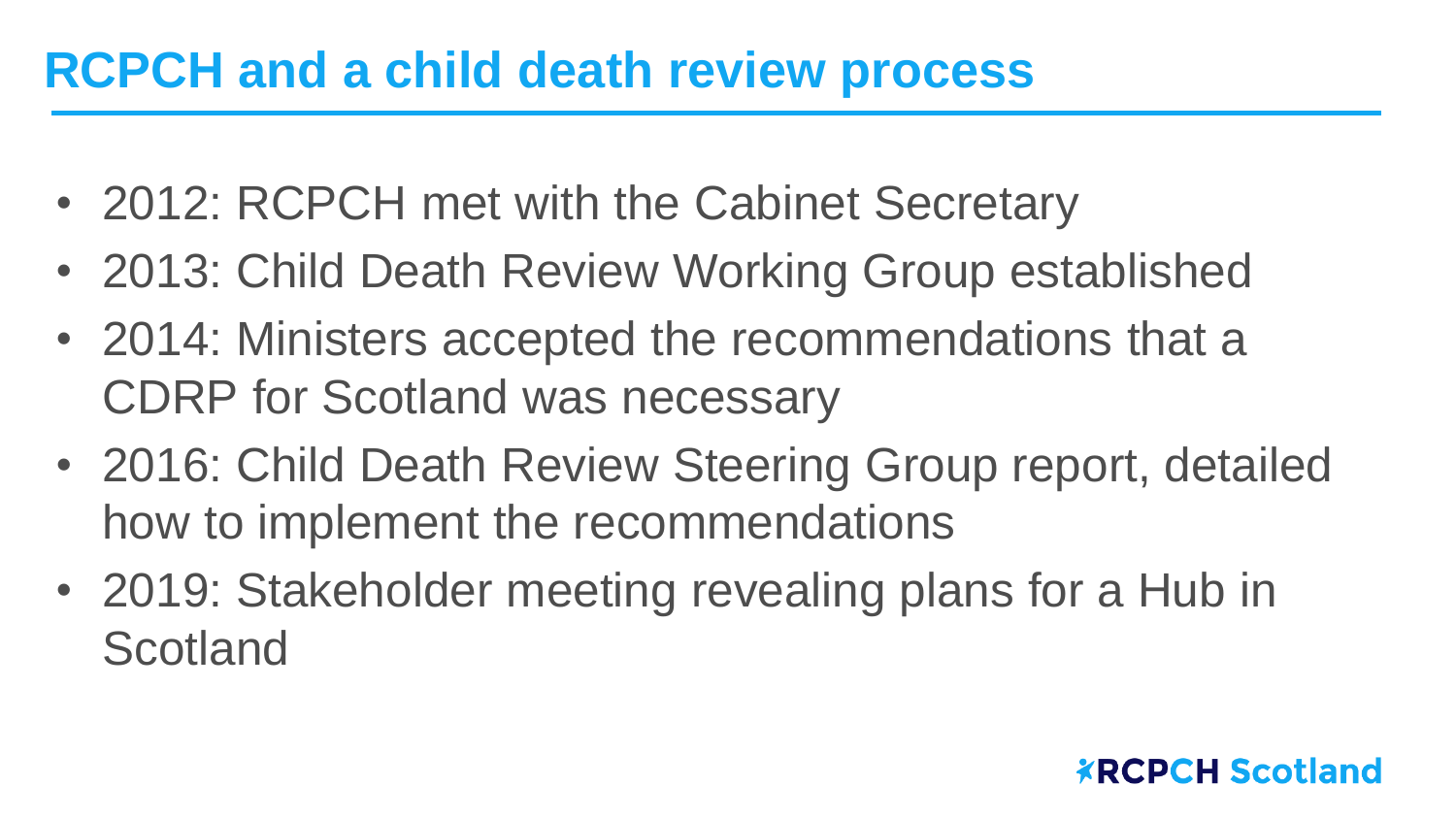## **RCPCH and a child death review process**

- 2012: RCPCH met with the Cabinet Secretary
- 2013: Child Death Review Working Group established
- 2014: Ministers accepted the recommendations that a CDRP for Scotland was necessary
- 2016: Child Death Review Steering Group report, detailed how to implement the recommendations
- 2019: Stakeholder meeting revealing plans for a Hub in **Scotland**

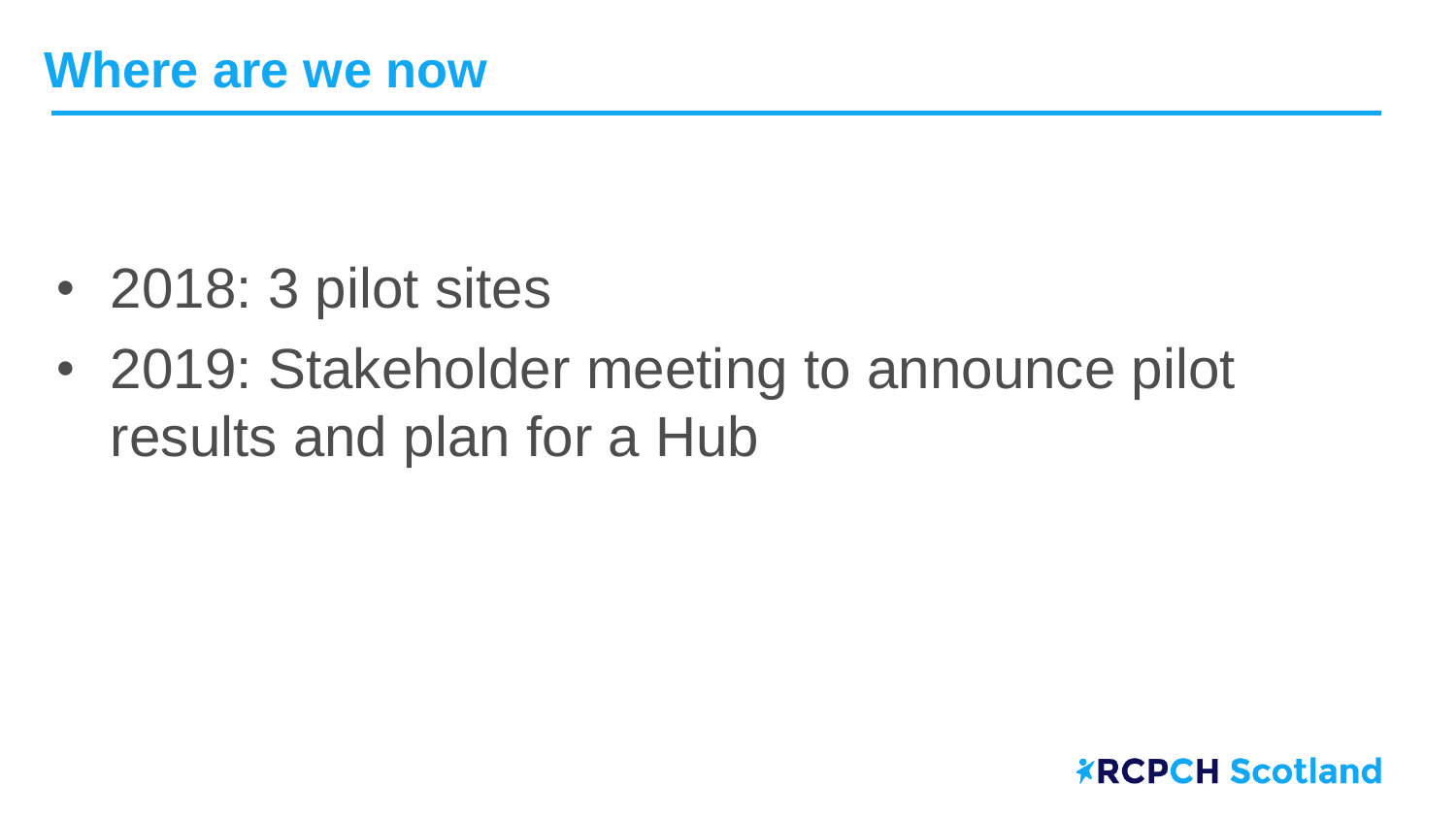- 2018: 3 pilot sites
- 2019: Stakeholder meeting to announce pilot results and plan for a Hub